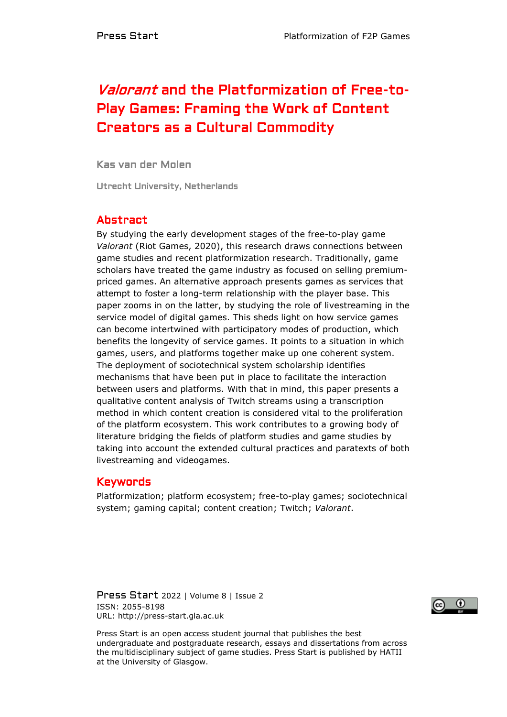# Valorant and the Platformization of Free-to-Play Games: Framing the Work of Content Creators as a Cultural Commodity

Kas van der Molen

Utrecht University, Netherlands

# Abstract

By studying the early development stages of the free-to-play game *Valorant* (Riot Games, 2020), this research draws connections between game studies and recent platformization research. Traditionally, game scholars have treated the game industry as focused on selling premiumpriced games. An alternative approach presents games as services that attempt to foster a long-term relationship with the player base. This paper zooms in on the latter, by studying the role of livestreaming in the service model of digital games. This sheds light on how service games can become intertwined with participatory modes of production, which benefits the longevity of service games. It points to a situation in which games, users, and platforms together make up one coherent system. The deployment of sociotechnical system scholarship identifies mechanisms that have been put in place to facilitate the interaction between users and platforms. With that in mind, this paper presents a qualitative content analysis of Twitch streams using a transcription method in which content creation is considered vital to the proliferation of the platform ecosystem. This work contributes to a growing body of literature bridging the fields of platform studies and game studies by taking into account the extended cultural practices and paratexts of both livestreaming and videogames.

## Keywords

Platformization; platform ecosystem; free-to-play games; sociotechnical system; gaming capital; content creation; Twitch; *Valorant*.

Press Start 2022 | Volume 8 | Issue 2 ISSN: 2055-8198 URL: http://press-start.gla.ac.uk



Press Start is an open access student journal that publishes the best undergraduate and postgraduate research, essays and dissertations from across the multidisciplinary subject of game studies. Press Start is published by HATII at the University of Glasgow.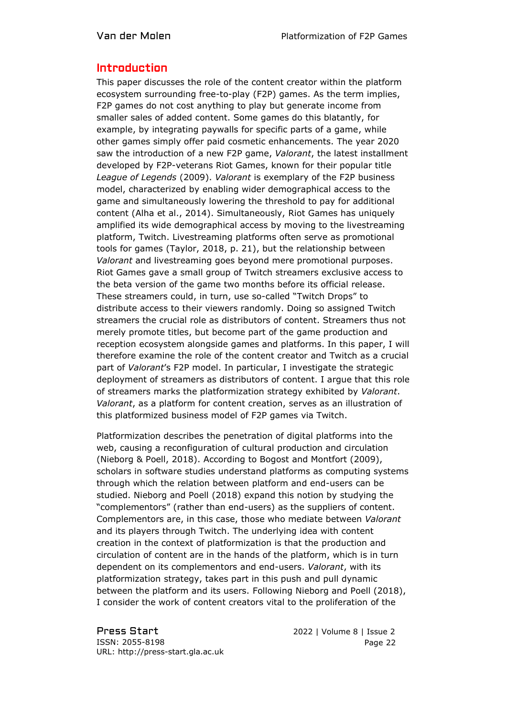#### Introduction

This paper discusses the role of the content creator within the platform ecosystem surrounding free-to-play (F2P) games. As the term implies, F2P games do not cost anything to play but generate income from smaller sales of added content. Some games do this blatantly, for example, by integrating paywalls for specific parts of a game, while other games simply offer paid cosmetic enhancements. The year 2020 saw the introduction of a new F2P game, *Valorant*, the latest installment developed by F2P-veterans Riot Games, known for their popular title *League of Legends* (2009). *Valorant* is exemplary of the F2P business model, characterized by enabling wider demographical access to the game and simultaneously lowering the threshold to pay for additional content (Alha et al., 2014). Simultaneously, Riot Games has uniquely amplified its wide demographical access by moving to the livestreaming platform, Twitch. Livestreaming platforms often serve as promotional tools for games (Taylor, 2018, p. 21), but the relationship between *Valorant* and livestreaming goes beyond mere promotional purposes. Riot Games gave a small group of Twitch streamers exclusive access to the beta version of the game two months before its official release. These streamers could, in turn, use so-called "Twitch Drops" to distribute access to their viewers randomly. Doing so assigned Twitch streamers the crucial role as distributors of content. Streamers thus not merely promote titles, but become part of the game production and reception ecosystem alongside games and platforms. In this paper, I will therefore examine the role of the content creator and Twitch as a crucial part of *Valorant*'s F2P model. In particular, I investigate the strategic deployment of streamers as distributors of content. I argue that this role of streamers marks the platformization strategy exhibited by *Valorant*. *Valorant*, as a platform for content creation, serves as an illustration of this platformized business model of F2P games via Twitch.

Platformization describes the penetration of digital platforms into the web, causing a reconfiguration of cultural production and circulation (Nieborg & Poell, 2018). According to Bogost and Montfort (2009), scholars in software studies understand platforms as computing systems through which the relation between platform and end-users can be studied. Nieborg and Poell (2018) expand this notion by studying the "complementors" (rather than end-users) as the suppliers of content. Complementors are, in this case, those who mediate between *Valorant* and its players through Twitch. The underlying idea with content creation in the context of platformization is that the production and circulation of content are in the hands of the platform, which is in turn dependent on its complementors and end-users. *Valorant*, with its platformization strategy, takes part in this push and pull dynamic between the platform and its users. Following Nieborg and Poell (2018), I consider the work of content creators vital to the proliferation of the

Press Start 2022 | Volume 8 | Issue 2 ISSN: 2055-8198 URL: http://press-start.gla.ac.uk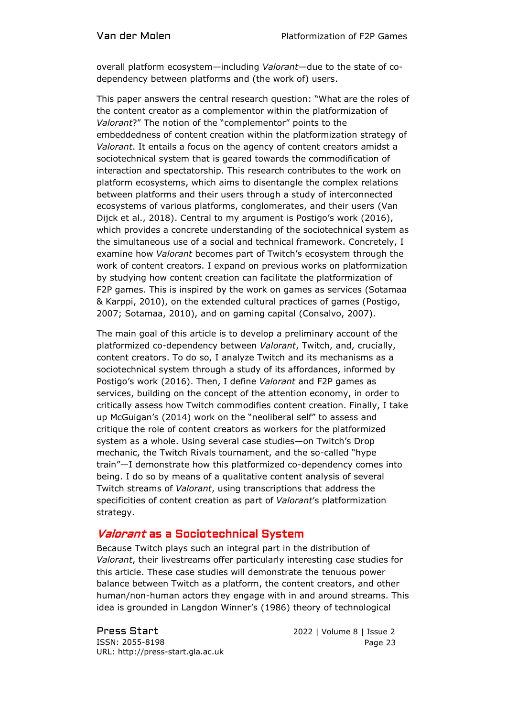overall platform ecosystem—including *Valorant—*due to the state of codependency between platforms and (the work of) users.

This paper answers the central research question: "What are the roles of the content creator as a complementor within the platformization of *Valorant*?" The notion of the "complementor" points to the embeddedness of content creation within the platformization strategy of *Valorant*. It entails a focus on the agency of content creators amidst a sociotechnical system that is geared towards the commodification of interaction and spectatorship. This research contributes to the work on platform ecosystems, which aims to disentangle the complex relations between platforms and their users through a study of interconnected ecosystems of various platforms, conglomerates, and their users (Van Dijck et al., 2018). Central to my argument is Postigo's work (2016), which provides a concrete understanding of the sociotechnical system as the simultaneous use of a social and technical framework. Concretely, I examine how *Valorant* becomes part of Twitch's ecosystem through the work of content creators. I expand on previous works on platformization by studying how content creation can facilitate the platformization of F2P games. This is inspired by the work on games as services (Sotamaa & Karppi, 2010), on the extended cultural practices of games (Postigo, 2007; Sotamaa, 2010), and on gaming capital (Consalvo, 2007).

The main goal of this article is to develop a preliminary account of the platformized co-dependency between *Valorant*, Twitch, and, crucially, content creators. To do so, I analyze Twitch and its mechanisms as a sociotechnical system through a study of its affordances, informed by Postigo's work (2016). Then, I define *Valorant* and F2P games as services, building on the concept of the attention economy, in order to critically assess how Twitch commodifies content creation. Finally, I take up McGuigan's (2014) work on the "neoliberal self" to assess and critique the role of content creators as workers for the platformized system as a whole. Using several case studies—on Twitch's Drop mechanic, the Twitch Rivals tournament, and the so-called "hype train"—I demonstrate how this platformized co-dependency comes into being. I do so by means of a qualitative content analysis of several Twitch streams of *Valorant*, using transcriptions that address the specificities of content creation as part of *Valorant*'s platformization strategy.

# Valorant as a Sociotechnical System

Because Twitch plays such an integral part in the distribution of *Valorant*, their livestreams offer particularly interesting case studies for this article. These case studies will demonstrate the tenuous power balance between Twitch as a platform, the content creators, and other human/non-human actors they engage with in and around streams. This idea is grounded in Langdon Winner's (1986) theory of technological

Press Start 2022 | Volume 8 | Issue 2 ISSN: 2055-8198 URL: http://press-start.gla.ac.uk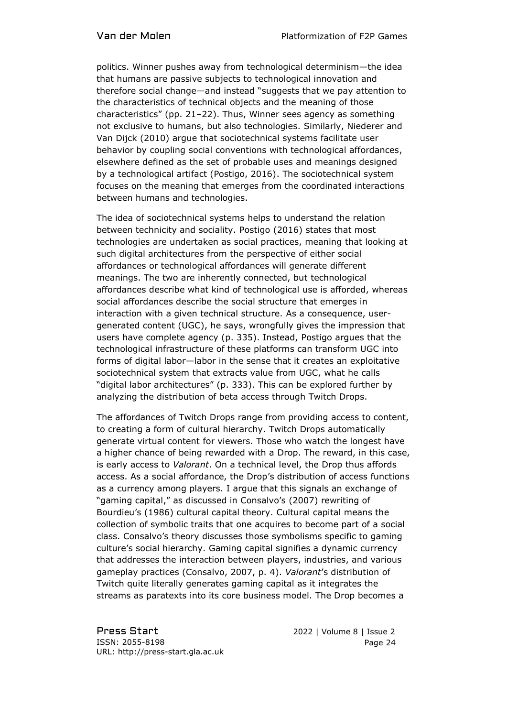politics. Winner pushes away from technological determinism—the idea that humans are passive subjects to technological innovation and therefore social change—and instead "suggests that we pay attention to the characteristics of technical objects and the meaning of those characteristics" (pp. 21–22). Thus, Winner sees agency as something not exclusive to humans, but also technologies. Similarly, Niederer and Van Dijck (2010) argue that sociotechnical systems facilitate user behavior by coupling social conventions with technological affordances, elsewhere defined as the set of probable uses and meanings designed by a technological artifact (Postigo, 2016). The sociotechnical system focuses on the meaning that emerges from the coordinated interactions between humans and technologies.

The idea of sociotechnical systems helps to understand the relation between technicity and sociality. Postigo (2016) states that most technologies are undertaken as social practices, meaning that looking at such digital architectures from the perspective of either social affordances or technological affordances will generate different meanings. The two are inherently connected, but technological affordances describe what kind of technological use is afforded, whereas social affordances describe the social structure that emerges in interaction with a given technical structure. As a consequence, usergenerated content (UGC), he says, wrongfully gives the impression that users have complete agency (p. 335). Instead, Postigo argues that the technological infrastructure of these platforms can transform UGC into forms of digital labor—labor in the sense that it creates an exploitative sociotechnical system that extracts value from UGC, what he calls "digital labor architectures" (p. 333). This can be explored further by analyzing the distribution of beta access through Twitch Drops.

The affordances of Twitch Drops range from providing access to content, to creating a form of cultural hierarchy. Twitch Drops automatically generate virtual content for viewers. Those who watch the longest have a higher chance of being rewarded with a Drop. The reward, in this case, is early access to *Valorant*. On a technical level, the Drop thus affords access. As a social affordance, the Drop's distribution of access functions as a currency among players. I argue that this signals an exchange of "gaming capital," as discussed in Consalvo's (2007) rewriting of Bourdieu's (1986) cultural capital theory. Cultural capital means the collection of symbolic traits that one acquires to become part of a social class. Consalvo's theory discusses those symbolisms specific to gaming culture's social hierarchy. Gaming capital signifies a dynamic currency that addresses the interaction between players, industries, and various gameplay practices (Consalvo, 2007, p. 4). *Valorant*'s distribution of Twitch quite literally generates gaming capital as it integrates the streams as paratexts into its core business model. The Drop becomes a

Press Start 2022 | Volume 8 | Issue 2 ISSN: 2055-8198 URL: http://press-start.gla.ac.uk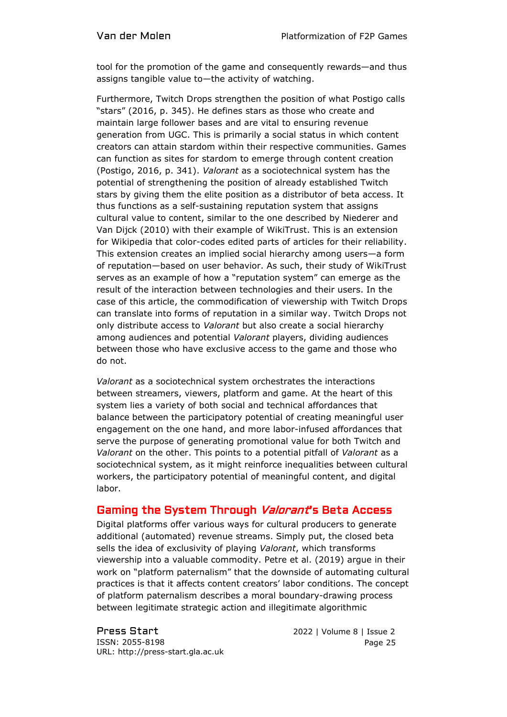tool for the promotion of the game and consequently rewards—and thus assigns tangible value to—the activity of watching.

Furthermore, Twitch Drops strengthen the position of what Postigo calls "stars" (2016, p. 345). He defines stars as those who create and maintain large follower bases and are vital to ensuring revenue generation from UGC. This is primarily a social status in which content creators can attain stardom within their respective communities. Games can function as sites for stardom to emerge through content creation (Postigo, 2016, p. 341). *Valorant* as a sociotechnical system has the potential of strengthening the position of already established Twitch stars by giving them the elite position as a distributor of beta access. It thus functions as a self-sustaining reputation system that assigns cultural value to content, similar to the one described by Niederer and Van Dijck (2010) with their example of WikiTrust. This is an extension for Wikipedia that color-codes edited parts of articles for their reliability. This extension creates an implied social hierarchy among users—a form of reputation—based on user behavior. As such, their study of WikiTrust serves as an example of how a "reputation system" can emerge as the result of the interaction between technologies and their users. In the case of this article, the commodification of viewership with Twitch Drops can translate into forms of reputation in a similar way. Twitch Drops not only distribute access to *Valorant* but also create a social hierarchy among audiences and potential *Valorant* players, dividing audiences between those who have exclusive access to the game and those who do not.

*Valorant* as a sociotechnical system orchestrates the interactions between streamers, viewers, platform and game. At the heart of this system lies a variety of both social and technical affordances that balance between the participatory potential of creating meaningful user engagement on the one hand, and more labor-infused affordances that serve the purpose of generating promotional value for both Twitch and *Valorant* on the other. This points to a potential pitfall of *Valorant* as a sociotechnical system, as it might reinforce inequalities between cultural workers, the participatory potential of meaningful content, and digital labor.

# Gaming the System Through Valorant's Beta Access

Digital platforms offer various ways for cultural producers to generate additional (automated) revenue streams. Simply put, the closed beta sells the idea of exclusivity of playing *Valorant*, which transforms viewership into a valuable commodity. Petre et al. (2019) argue in their work on "platform paternalism" that the downside of automating cultural practices is that it affects content creators' labor conditions. The concept of platform paternalism describes a moral boundary-drawing process between legitimate strategic action and illegitimate algorithmic

Press Start 2022 | Volume 8 | Issue 2 ISSN: 2055-8198 URL: http://press-start.gla.ac.uk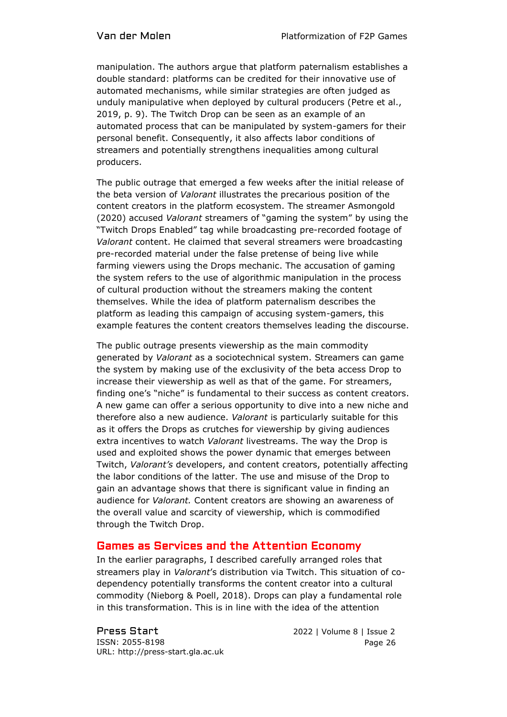manipulation. The authors argue that platform paternalism establishes a double standard: platforms can be credited for their innovative use of automated mechanisms, while similar strategies are often judged as unduly manipulative when deployed by cultural producers (Petre et al., 2019, p. 9). The Twitch Drop can be seen as an example of an automated process that can be manipulated by system-gamers for their personal benefit. Consequently, it also affects labor conditions of streamers and potentially strengthens inequalities among cultural producers.

The public outrage that emerged a few weeks after the initial release of the beta version of *Valorant* illustrates the precarious position of the content creators in the platform ecosystem. The streamer Asmongold (2020) accused *Valorant* streamers of "gaming the system" by using the "Twitch Drops Enabled" tag while broadcasting pre-recorded footage of *Valorant* content. He claimed that several streamers were broadcasting pre-recorded material under the false pretense of being live while farming viewers using the Drops mechanic. The accusation of gaming the system refers to the use of algorithmic manipulation in the process of cultural production without the streamers making the content themselves. While the idea of platform paternalism describes the platform as leading this campaign of accusing system-gamers, this example features the content creators themselves leading the discourse.

The public outrage presents viewership as the main commodity generated by *Valorant* as a sociotechnical system. Streamers can game the system by making use of the exclusivity of the beta access Drop to increase their viewership as well as that of the game. For streamers, finding one's "niche" is fundamental to their success as content creators. A new game can offer a serious opportunity to dive into a new niche and therefore also a new audience. *Valorant* is particularly suitable for this as it offers the Drops as crutches for viewership by giving audiences extra incentives to watch *Valorant* livestreams. The way the Drop is used and exploited shows the power dynamic that emerges between Twitch, *Valorant's* developers, and content creators, potentially affecting the labor conditions of the latter. The use and misuse of the Drop to gain an advantage shows that there is significant value in finding an audience for *Valorant.* Content creators are showing an awareness of the overall value and scarcity of viewership, which is commodified through the Twitch Drop.

## Games as Services and the Attention Economy

In the earlier paragraphs, I described carefully arranged roles that streamers play in *Valorant*'s distribution via Twitch. This situation of codependency potentially transforms the content creator into a cultural commodity (Nieborg & Poell, 2018). Drops can play a fundamental role in this transformation. This is in line with the idea of the attention

Press Start 2022 | Volume 8 | Issue 2 ISSN: 2055-8198 URL: http://press-start.gla.ac.uk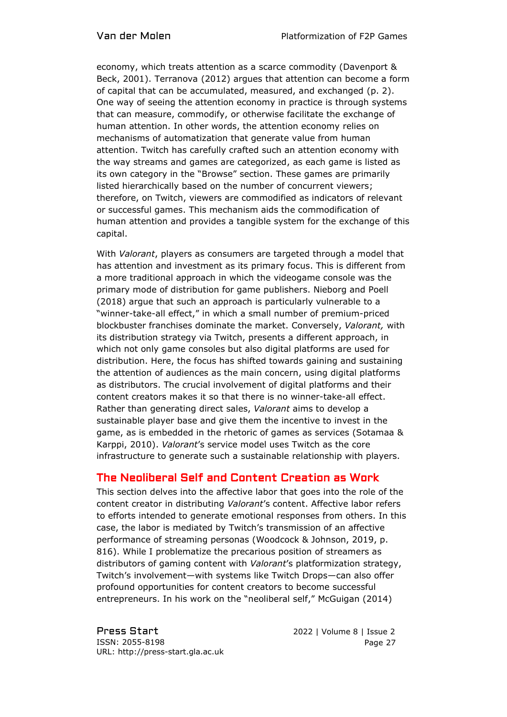economy, which treats attention as a scarce commodity (Davenport & Beck, 2001). Terranova (2012) argues that attention can become a form of capital that can be accumulated, measured, and exchanged (p. 2). One way of seeing the attention economy in practice is through systems that can measure, commodify, or otherwise facilitate the exchange of human attention. In other words, the attention economy relies on mechanisms of automatization that generate value from human attention. Twitch has carefully crafted such an attention economy with the way streams and games are categorized, as each game is listed as its own category in the "Browse" section. These games are primarily listed hierarchically based on the number of concurrent viewers; therefore, on Twitch, viewers are commodified as indicators of relevant or successful games. This mechanism aids the commodification of human attention and provides a tangible system for the exchange of this capital.

With *Valorant*, players as consumers are targeted through a model that has attention and investment as its primary focus. This is different from a more traditional approach in which the videogame console was the primary mode of distribution for game publishers. Nieborg and Poell (2018) argue that such an approach is particularly vulnerable to a "winner-take-all effect," in which a small number of premium-priced blockbuster franchises dominate the market. Conversely, *Valorant,* with its distribution strategy via Twitch, presents a different approach, in which not only game consoles but also digital platforms are used for distribution. Here, the focus has shifted towards gaining and sustaining the attention of audiences as the main concern, using digital platforms as distributors. The crucial involvement of digital platforms and their content creators makes it so that there is no winner-take-all effect. Rather than generating direct sales, *Valorant* aims to develop a sustainable player base and give them the incentive to invest in the game, as is embedded in the rhetoric of games as services (Sotamaa & Karppi, 2010). *Valorant*'s service model uses Twitch as the core infrastructure to generate such a sustainable relationship with players.

## The Neoliberal Self and Content Creation as Work

This section delves into the affective labor that goes into the role of the content creator in distributing *Valorant*'s content. Affective labor refers to efforts intended to generate emotional responses from others. In this case, the labor is mediated by Twitch's transmission of an affective performance of streaming personas (Woodcock & Johnson, 2019, p. 816). While I problematize the precarious position of streamers as distributors of gaming content with *Valorant*'s platformization strategy, Twitch's involvement—with systems like Twitch Drops—can also offer profound opportunities for content creators to become successful entrepreneurs. In his work on the "neoliberal self," McGuigan (2014)

Press Start 2022 | Volume 8 | Issue 2 ISSN: 2055-8198 URL: http://press-start.gla.ac.uk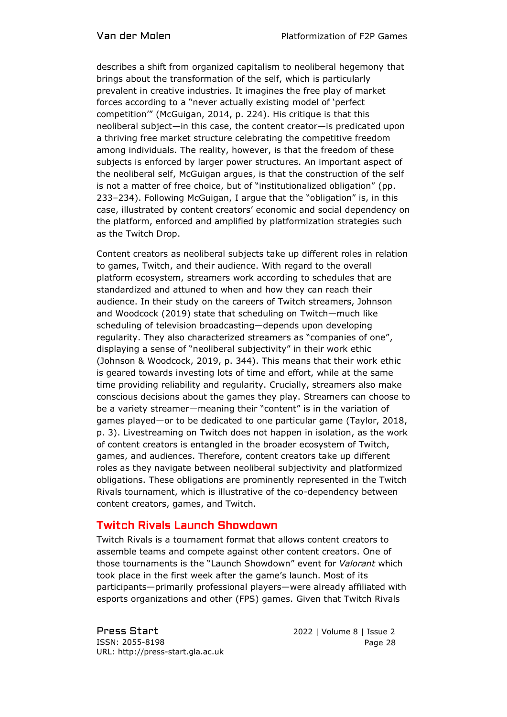describes a shift from organized capitalism to neoliberal hegemony that brings about the transformation of the self, which is particularly prevalent in creative industries. It imagines the free play of market forces according to a "never actually existing model of 'perfect competition'" (McGuigan, 2014, p. 224). His critique is that this neoliberal subject—in this case, the content creator—is predicated upon a thriving free market structure celebrating the competitive freedom among individuals. The reality, however, is that the freedom of these subjects is enforced by larger power structures. An important aspect of the neoliberal self, McGuigan argues, is that the construction of the self is not a matter of free choice, but of "institutionalized obligation" (pp. 233–234). Following McGuigan, I argue that the "obligation" is, in this case, illustrated by content creators' economic and social dependency on the platform, enforced and amplified by platformization strategies such as the Twitch Drop.

Content creators as neoliberal subjects take up different roles in relation to games, Twitch, and their audience. With regard to the overall platform ecosystem, streamers work according to schedules that are standardized and attuned to when and how they can reach their audience. In their study on the careers of Twitch streamers, Johnson and Woodcock (2019) state that scheduling on Twitch—much like scheduling of television broadcasting—depends upon developing regularity. They also characterized streamers as "companies of one", displaying a sense of "neoliberal subjectivity" in their work ethic (Johnson & Woodcock, 2019, p. 344). This means that their work ethic is geared towards investing lots of time and effort, while at the same time providing reliability and regularity. Crucially, streamers also make conscious decisions about the games they play. Streamers can choose to be a variety streamer—meaning their "content" is in the variation of games played—or to be dedicated to one particular game (Taylor, 2018, p. 3). Livestreaming on Twitch does not happen in isolation, as the work of content creators is entangled in the broader ecosystem of Twitch, games, and audiences. Therefore, content creators take up different roles as they navigate between neoliberal subjectivity and platformized obligations. These obligations are prominently represented in the Twitch Rivals tournament, which is illustrative of the co-dependency between content creators, games, and Twitch.

# Twitch Rivals Launch Showdown

Twitch Rivals is a tournament format that allows content creators to assemble teams and compete against other content creators. One of those tournaments is the "Launch Showdown" event for *Valorant* which took place in the first week after the game's launch. Most of its participants—primarily professional players—were already affiliated with esports organizations and other (FPS) games. Given that Twitch Rivals

Press Start 2022 | Volume 8 | Issue 2 ISSN: 2055-8198 URL: http://press-start.gla.ac.uk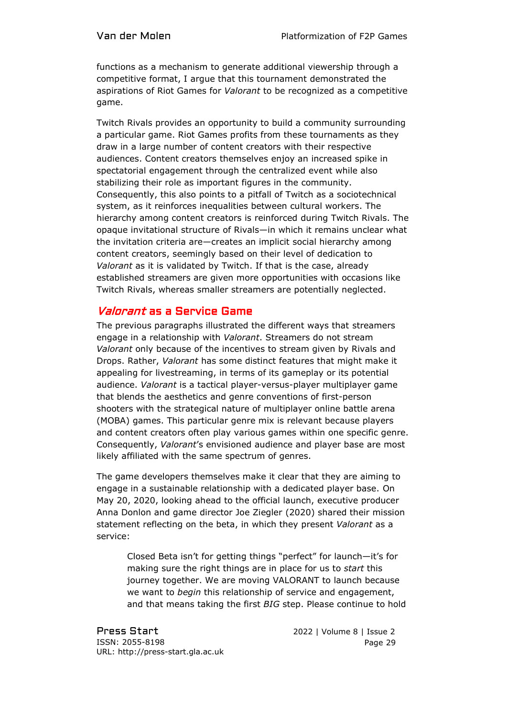functions as a mechanism to generate additional viewership through a competitive format, I argue that this tournament demonstrated the aspirations of Riot Games for *Valorant* to be recognized as a competitive game.

Twitch Rivals provides an opportunity to build a community surrounding a particular game. Riot Games profits from these tournaments as they draw in a large number of content creators with their respective audiences. Content creators themselves enjoy an increased spike in spectatorial engagement through the centralized event while also stabilizing their role as important figures in the community. Consequently, this also points to a pitfall of Twitch as a sociotechnical system, as it reinforces inequalities between cultural workers. The hierarchy among content creators is reinforced during Twitch Rivals. The opaque invitational structure of Rivals—in which it remains unclear what the invitation criteria are—creates an implicit social hierarchy among content creators, seemingly based on their level of dedication to *Valorant* as it is validated by Twitch. If that is the case, already established streamers are given more opportunities with occasions like Twitch Rivals, whereas smaller streamers are potentially neglected.

# Valorant as a Service Game

The previous paragraphs illustrated the different ways that streamers engage in a relationship with *Valorant*. Streamers do not stream *Valorant* only because of the incentives to stream given by Rivals and Drops. Rather, *Valorant* has some distinct features that might make it appealing for livestreaming, in terms of its gameplay or its potential audience. *Valorant* is a tactical player-versus-player multiplayer game that blends the aesthetics and genre conventions of first-person shooters with the strategical nature of multiplayer online battle arena (MOBA) games. This particular genre mix is relevant because players and content creators often play various games within one specific genre. Consequently, *Valorant*'s envisioned audience and player base are most likely affiliated with the same spectrum of genres.

The game developers themselves make it clear that they are aiming to engage in a sustainable relationship with a dedicated player base. On May 20, 2020, looking ahead to the official launch, executive producer Anna Donlon and game director Joe Ziegler (2020) shared their mission statement reflecting on the beta, in which they present *Valorant* as a service:

Closed Beta isn't for getting things "perfect" for launch—it's for making sure the right things are in place for us to *start* this journey together. We are moving VALORANT to launch because we want to *begin* this relationship of service and engagement, and that means taking the first *BIG* step. Please continue to hold

Press Start 2022 | Volume 8 | Issue 2 ISSN: 2055-8198 URL: http://press-start.gla.ac.uk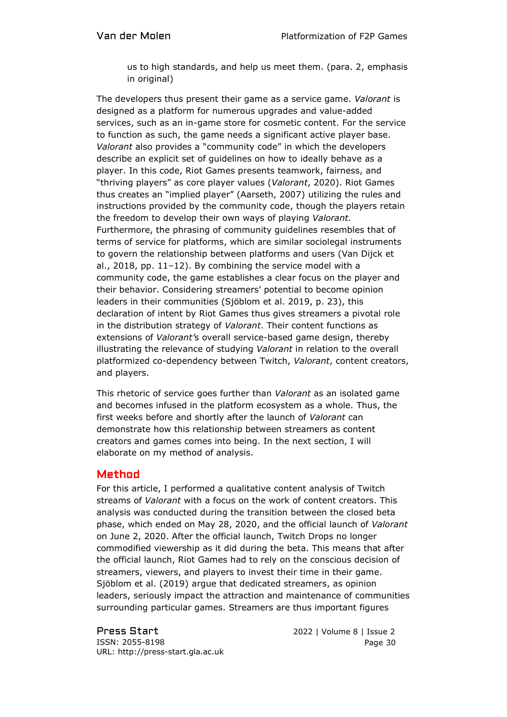us to high standards, and help us meet them. (para. 2, emphasis in original)

The developers thus present their game as a service game. *Valorant* is designed as a platform for numerous upgrades and value-added services, such as an in-game store for cosmetic content. For the service to function as such, the game needs a significant active player base. *Valorant* also provides a "community code" in which the developers describe an explicit set of guidelines on how to ideally behave as a player. In this code, Riot Games presents teamwork, fairness, and "thriving players" as core player values (*Valorant*, 2020). Riot Games thus creates an "implied player" (Aarseth, 2007) utilizing the rules and instructions provided by the community code, though the players retain the freedom to develop their own ways of playing *Valorant.* Furthermore, the phrasing of community guidelines resembles that of terms of service for platforms, which are similar sociolegal instruments to govern the relationship between platforms and users (Van Dijck et al., 2018, pp. 11–12). By combining the service model with a community code, the game establishes a clear focus on the player and their behavior. Considering streamers' potential to become opinion leaders in their communities (Sjöblom et al. 2019, p. 23), this declaration of intent by Riot Games thus gives streamers a pivotal role in the distribution strategy of *Valorant*. Their content functions as extensions of *Valorant'*s overall service-based game design, thereby illustrating the relevance of studying *Valorant* in relation to the overall platformized co-dependency between Twitch, *Valorant*, content creators, and players.

This rhetoric of service goes further than *Valorant* as an isolated game and becomes infused in the platform ecosystem as a whole. Thus, the first weeks before and shortly after the launch of *Valorant* can demonstrate how this relationship between streamers as content creators and games comes into being. In the next section, I will elaborate on my method of analysis.

# Method

For this article, I performed a qualitative content analysis of Twitch streams of *Valorant* with a focus on the work of content creators. This analysis was conducted during the transition between the closed beta phase, which ended on May 28, 2020, and the official launch of *Valorant* on June 2, 2020. After the official launch, Twitch Drops no longer commodified viewership as it did during the beta. This means that after the official launch, Riot Games had to rely on the conscious decision of streamers, viewers, and players to invest their time in their game. Sjöblom et al. (2019) argue that dedicated streamers, as opinion leaders, seriously impact the attraction and maintenance of communities surrounding particular games. Streamers are thus important figures

ISSN: 2055-8198 URL: http://press-start.gla.ac.uk

Press Start 2022 | Volume 8 | Issue 2 Page 30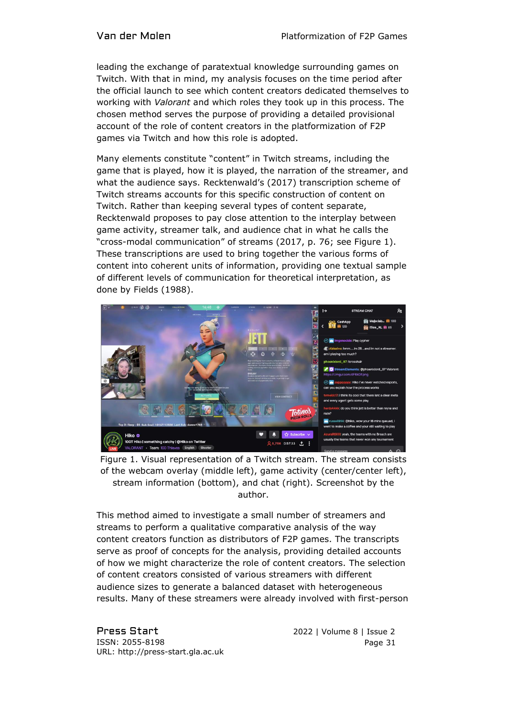leading the exchange of paratextual knowledge surrounding games on Twitch. With that in mind, my analysis focuses on the time period after the official launch to see which content creators dedicated themselves to working with *Valorant* and which roles they took up in this process. The chosen method serves the purpose of providing a detailed provisional account of the role of content creators in the platformization of F2P games via Twitch and how this role is adopted.

Many elements constitute "content" in Twitch streams, including the game that is played, how it is played, the narration of the streamer, and what the audience says. Recktenwald's (2017) transcription scheme of Twitch streams accounts for this specific construction of content on Twitch. Rather than keeping several types of content separate, Recktenwald proposes to pay close attention to the interplay between game activity, streamer talk, and audience chat in what he calls the "cross-modal communication" of streams (2017, p. 76; see Figure 1). These transcriptions are used to bring together the various forms of content into coherent units of information, providing one textual sample of different levels of communication for theoretical interpretation, as done by Fields (1988).



Figure 1. Visual representation of a Twitch stream. The stream consists of the webcam overlay (middle left), game activity (center/center left), stream information (bottom), and chat (right). Screenshot by the author.

This method aimed to investigate a small number of streamers and streams to perform a qualitative comparative analysis of the way content creators function as distributors of F2P games. The transcripts serve as proof of concepts for the analysis, providing detailed accounts of how we might characterize the role of content creators. The selection of content creators consisted of various streamers with different audience sizes to generate a balanced dataset with heterogeneous results. Many of these streamers were already involved with first-person

Press Start 2022 | Volume 8 | Issue 2 ISSN: 2055-8198 URL: http://press-start.gla.ac.uk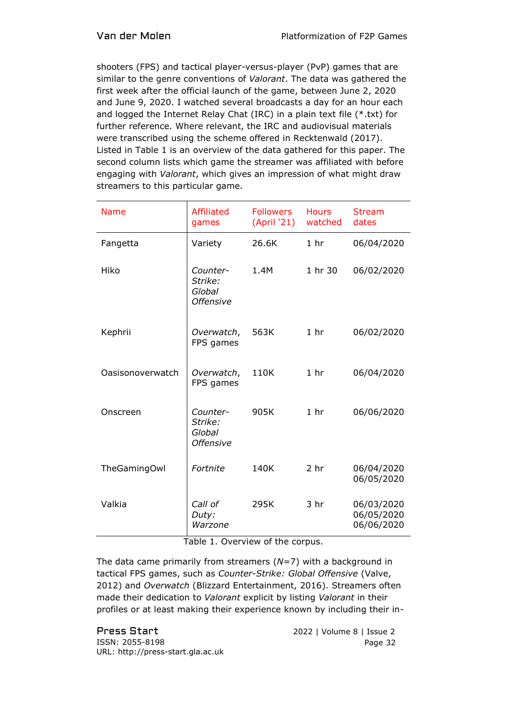shooters (FPS) and tactical player-versus-player (PvP) games that are similar to the genre conventions of *Valorant*. The data was gathered the first week after the official launch of the game, between June 2, 2020 and June 9, 2020. I watched several broadcasts a day for an hour each and logged the Internet Relay Chat (IRC) in a plain text file (\*.txt) for further reference. Where relevant, the IRC and audiovisual materials were transcribed using the scheme offered in Recktenwald (2017). Listed in Table 1 is an overview of the data gathered for this paper. The second column lists which game the streamer was affiliated with before engaging with *Valorant*, which gives an impression of what might draw streamers to this particular game*.*

| <b>Name</b>      | <b>Affiliated</b><br>games                        | <b>Followers</b><br>(April '21) | <b>Hours</b><br>watched | <b>Stream</b><br>dates                 |
|------------------|---------------------------------------------------|---------------------------------|-------------------------|----------------------------------------|
| Fangetta         | Variety                                           | 26.6K                           | 1 <sub>hr</sub>         | 06/04/2020                             |
| Hiko             | Counter-<br>Strike:<br>Global<br><b>Offensive</b> | 1.4M                            | 1 hr 30                 | 06/02/2020                             |
| Kephrii          | Overwatch,<br>FPS games                           | 563K                            | 1 <sub>hr</sub>         | 06/02/2020                             |
| Oasisonoverwatch | Overwatch,<br>FPS games                           | 110K                            | 1 <sub>hr</sub>         | 06/04/2020                             |
| Onscreen         | Counter-<br>Strike:<br>Global<br><b>Offensive</b> | 905K                            | 1 <sub>hr</sub>         | 06/06/2020                             |
| TheGamingOwl     | Fortnite                                          | 140K                            | 2 <sub>hr</sub>         | 06/04/2020<br>06/05/2020               |
| Valkia           | Call of<br>Duty:<br>Warzone                       | 295K                            | 3 hr                    | 06/03/2020<br>06/05/2020<br>06/06/2020 |

Table 1. Overview of the corpus.

The data came primarily from streamers (*N=*7) with a background in tactical FPS games, such as *Counter-Strike: Global Offensive* (Valve, 2012) and *Overwatch* (Blizzard Entertainment, 2016). Streamers often made their dedication to *Valorant* explicit by listing *Valorant* in their profiles or at least making their experience known by including their in-

Press Start 2022 | Volume 8 | Issue 2 ISSN: 2055-8198 URL: http://press-start.gla.ac.uk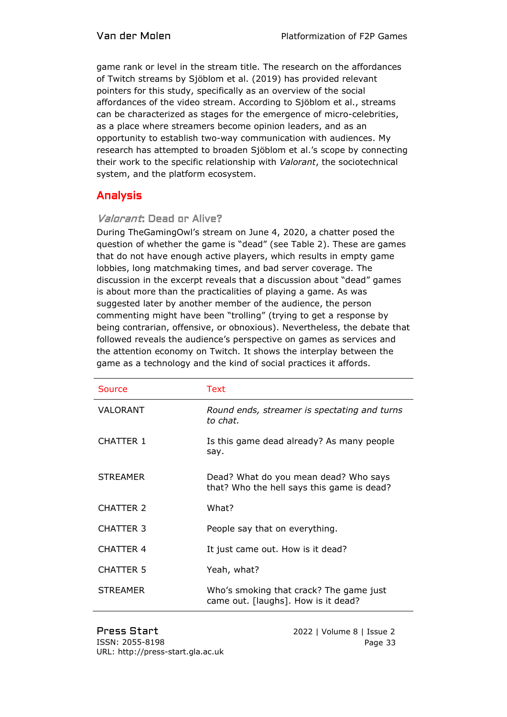game rank or level in the stream title. The research on the affordances of Twitch streams by Sjöblom et al. (2019) has provided relevant pointers for this study, specifically as an overview of the social affordances of the video stream. According to Sjöblom et al., streams can be characterized as stages for the emergence of micro-celebrities, as a place where streamers become opinion leaders, and as an opportunity to establish two-way communication with audiences. My research has attempted to broaden Sjöblom et al.'s scope by connecting their work to the specific relationship with *Valorant*, the sociotechnical system, and the platform ecosystem.

# Analysis

#### Valorant: Dead or Alive?

During TheGamingOwl's stream on June 4, 2020, a chatter posed the question of whether the game is "dead" (see Table 2). These are games that do not have enough active players, which results in empty game lobbies, long matchmaking times, and bad server coverage. The discussion in the excerpt reveals that a discussion about "dead" games is about more than the practicalities of playing a game. As was suggested later by another member of the audience, the person commenting might have been "trolling" (trying to get a response by being contrarian, offensive, or obnoxious). Nevertheless, the debate that followed reveals the audience's perspective on games as services and the attention economy on Twitch. It shows the interplay between the game as a technology and the kind of social practices it affords.

| Source           | Text                                                                                |
|------------------|-------------------------------------------------------------------------------------|
| VALORANT         | Round ends, streamer is spectating and turns<br>to chat.                            |
| <b>CHATTER 1</b> | Is this game dead already? As many people<br>say.                                   |
| <b>STREAMER</b>  | Dead? What do you mean dead? Who says<br>that? Who the hell says this game is dead? |
| CHATTER 2        | What?                                                                               |
| <b>CHATTER 3</b> | People say that on everything.                                                      |
| <b>CHATTER 4</b> | It just came out. How is it dead?                                                   |
| <b>CHATTER 5</b> | Yeah, what?                                                                         |
| <b>STREAMER</b>  | Who's smoking that crack? The game just<br>came out. [laughs]. How is it dead?      |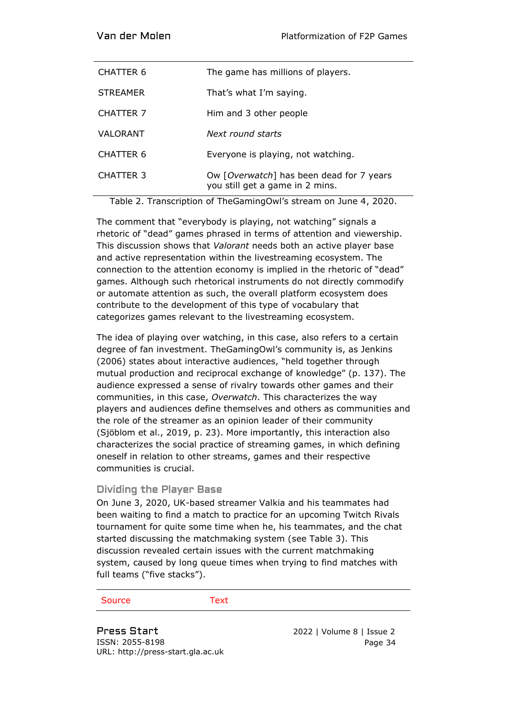| CHATTER 6        | The game has millions of players.                                           |
|------------------|-----------------------------------------------------------------------------|
| <b>STREAMER</b>  | That's what I'm saying.                                                     |
| CHATTER 7        | Him and 3 other people                                                      |
| VALORANT         | Next round starts                                                           |
| CHATTER 6        | Everyone is playing, not watching.                                          |
| <b>CHATTER 3</b> | Ow [Overwatch] has been dead for 7 years<br>you still get a game in 2 mins. |

Table 2. Transcription of TheGamingOwl's stream on June 4, 2020.

The comment that "everybody is playing, not watching" signals a rhetoric of "dead" games phrased in terms of attention and viewership. This discussion shows that *Valorant* needs both an active player base and active representation within the livestreaming ecosystem. The connection to the attention economy is implied in the rhetoric of "dead" games. Although such rhetorical instruments do not directly commodify or automate attention as such, the overall platform ecosystem does contribute to the development of this type of vocabulary that categorizes games relevant to the livestreaming ecosystem.

The idea of playing over watching, in this case, also refers to a certain degree of fan investment. TheGamingOwl's community is, as Jenkins (2006) states about interactive audiences, "held together through mutual production and reciprocal exchange of knowledge" (p. 137). The audience expressed a sense of rivalry towards other games and their communities, in this case, *Overwatch*. This characterizes the way players and audiences define themselves and others as communities and the role of the streamer as an opinion leader of their community (Sjöblom et al., 2019, p. 23). More importantly, this interaction also characterizes the social practice of streaming games, in which defining oneself in relation to other streams, games and their respective communities is crucial.

#### Dividing the Player Base

On June 3, 2020, UK-based streamer Valkia and his teammates had been waiting to find a match to practice for an upcoming Twitch Rivals tournament for quite some time when he, his teammates, and the chat started discussing the matchmaking system (see Table 3). This discussion revealed certain issues with the current matchmaking system, caused by long queue times when trying to find matches with full teams ("five stacks").

#### Source Text

Press Start 2022 | Volume 8 | Issue 2 ISSN: 2055-8198 URL: http://press-start.gla.ac.uk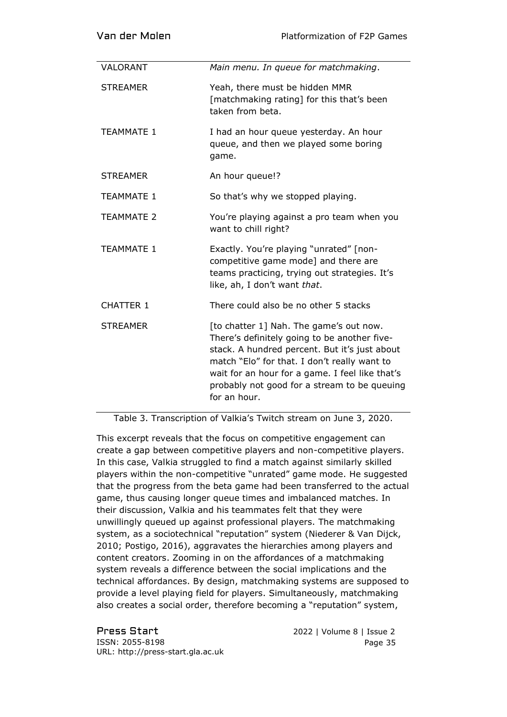| Van der Molen     | <b>Platformization of F2P Games</b>                                                                                                                                                                                                                                                                         |
|-------------------|-------------------------------------------------------------------------------------------------------------------------------------------------------------------------------------------------------------------------------------------------------------------------------------------------------------|
| VALORANT          | Main menu. In queue for matchmaking.                                                                                                                                                                                                                                                                        |
| <b>STREAMER</b>   | Yeah, there must be hidden MMR<br>[matchmaking rating] for this that's been<br>taken from beta.                                                                                                                                                                                                             |
| <b>TEAMMATE 1</b> | I had an hour queue yesterday. An hour<br>queue, and then we played some boring<br>game.                                                                                                                                                                                                                    |
| <b>STREAMER</b>   | An hour queue!?                                                                                                                                                                                                                                                                                             |
| <b>TEAMMATE 1</b> | So that's why we stopped playing.                                                                                                                                                                                                                                                                           |
| <b>TEAMMATE 2</b> | You're playing against a pro team when you<br>want to chill right?                                                                                                                                                                                                                                          |
| <b>TEAMMATE 1</b> | Exactly. You're playing "unrated" [non-<br>competitive game mode] and there are<br>teams practicing, trying out strategies. It's<br>like, ah, I don't want that.                                                                                                                                            |
| <b>CHATTER 1</b>  | There could also be no other 5 stacks                                                                                                                                                                                                                                                                       |
| <b>STREAMER</b>   | [to chatter 1] Nah. The game's out now.<br>There's definitely going to be another five-<br>stack. A hundred percent. But it's just about<br>match "Elo" for that. I don't really want to<br>wait for an hour for a game. I feel like that's<br>probably not good for a stream to be queuing<br>for an hour. |

Table 3. Transcription of Valkia's Twitch stream on June 3, 2020.

This excerpt reveals that the focus on competitive engagement can create a gap between competitive players and non-competitive players. In this case, Valkia struggled to find a match against similarly skilled players within the non-competitive "unrated" game mode. He suggested that the progress from the beta game had been transferred to the actual game, thus causing longer queue times and imbalanced matches. In their discussion, Valkia and his teammates felt that they were unwillingly queued up against professional players. The matchmaking system, as a sociotechnical "reputation" system (Niederer & Van Dijck, 2010; Postigo, 2016), aggravates the hierarchies among players and content creators. Zooming in on the affordances of a matchmaking system reveals a difference between the social implications and the technical affordances. By design, matchmaking systems are supposed to provide a level playing field for players. Simultaneously, matchmaking also creates a social order, therefore becoming a "reputation" system,

Press Start 2022 | Volume 8 | Issue 2 ISSN: 2055-8198 URL: http://press-start.gla.ac.uk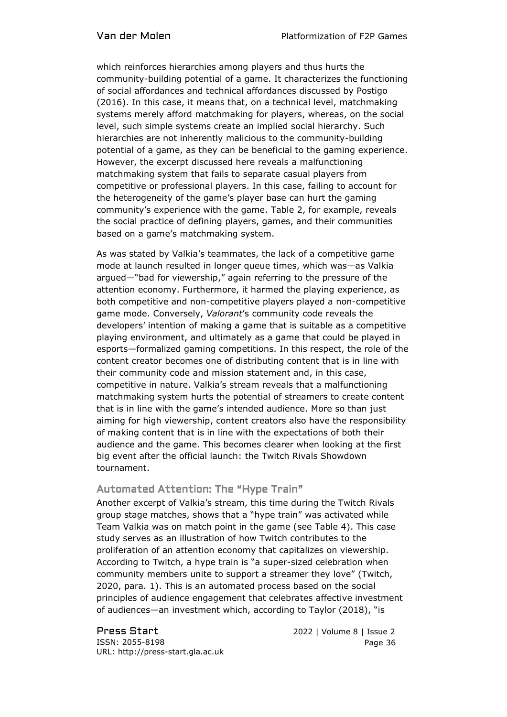which reinforces hierarchies among players and thus hurts the community-building potential of a game. It characterizes the functioning of social affordances and technical affordances discussed by Postigo (2016). In this case, it means that, on a technical level, matchmaking systems merely afford matchmaking for players, whereas, on the social level, such simple systems create an implied social hierarchy. Such hierarchies are not inherently malicious to the community-building potential of a game, as they can be beneficial to the gaming experience. However, the excerpt discussed here reveals a malfunctioning matchmaking system that fails to separate casual players from competitive or professional players. In this case, failing to account for the heterogeneity of the game's player base can hurt the gaming community's experience with the game. Table 2, for example, reveals the social practice of defining players, games, and their communities based on a game's matchmaking system.

As was stated by Valkia's teammates, the lack of a competitive game mode at launch resulted in longer queue times, which was—as Valkia argued—"bad for viewership," again referring to the pressure of the attention economy. Furthermore, it harmed the playing experience, as both competitive and non-competitive players played a non-competitive game mode. Conversely, *Valorant*'s community code reveals the developers' intention of making a game that is suitable as a competitive playing environment, and ultimately as a game that could be played in esports—formalized gaming competitions. In this respect, the role of the content creator becomes one of distributing content that is in line with their community code and mission statement and, in this case, competitive in nature. Valkia's stream reveals that a malfunctioning matchmaking system hurts the potential of streamers to create content that is in line with the game's intended audience. More so than just aiming for high viewership, content creators also have the responsibility of making content that is in line with the expectations of both their audience and the game. This becomes clearer when looking at the first big event after the official launch: the Twitch Rivals Showdown tournament.

## Automated Attention: The "Hype Train"

Another excerpt of Valkia's stream, this time during the Twitch Rivals group stage matches, shows that a "hype train" was activated while Team Valkia was on match point in the game (see Table 4). This case study serves as an illustration of how Twitch contributes to the proliferation of an attention economy that capitalizes on viewership. According to Twitch, a hype train is "a super-sized celebration when community members unite to support a streamer they love" (Twitch, 2020, para. 1). This is an automated process based on the social principles of audience engagement that celebrates affective investment of audiences—an investment which, according to Taylor (2018), "is

ISSN: 2055-8198 URL: http://press-start.gla.ac.uk

Press Start 2022 | Volume 8 | Issue 2 Page 36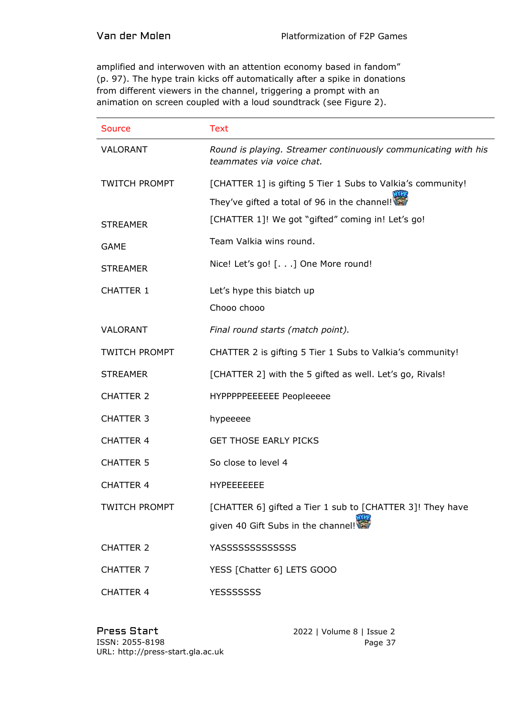amplified and interwoven with an attention economy based in fandom" (p. 97). The hype train kicks off automatically after a spike in donations from different viewers in the channel, triggering a prompt with an animation on screen coupled with a loud soundtrack (see Figure 2).

| <b>Source</b>        | <b>Text</b>                                                                                 |
|----------------------|---------------------------------------------------------------------------------------------|
| VALORANT             | Round is playing. Streamer continuously communicating with his<br>teammates via voice chat. |
| <b>TWITCH PROMPT</b> | [CHATTER 1] is gifting 5 Tier 1 Subs to Valkia's community!                                 |
|                      | They've gifted a total of 96 in the channel!                                                |
| <b>STREAMER</b>      | [CHATTER 1]! We got "gifted" coming in! Let's go!                                           |
| <b>GAME</b>          | Team Valkia wins round.                                                                     |
| <b>STREAMER</b>      | Nice! Let's go! [.] One More round!                                                         |
| <b>CHATTER 1</b>     | Let's hype this biatch up                                                                   |
|                      | Chooo chooo                                                                                 |
| <b>VALORANT</b>      | Final round starts (match point).                                                           |
| <b>TWITCH PROMPT</b> | CHATTER 2 is gifting 5 Tier 1 Subs to Valkia's community!                                   |
| <b>STREAMER</b>      | [CHATTER 2] with the 5 gifted as well. Let's go, Rivals!                                    |
| <b>CHATTER 2</b>     | HYPPPPPEEEEEE Peopleeeee                                                                    |
| <b>CHATTER 3</b>     | hypeeeee                                                                                    |
| <b>CHATTER 4</b>     | <b>GET THOSE EARLY PICKS</b>                                                                |
| <b>CHATTER 5</b>     | So close to level 4                                                                         |
| <b>CHATTER 4</b>     | <b>HYPEEEEEEE</b>                                                                           |
| <b>TWITCH PROMPT</b> | [CHATTER 6] gifted a Tier 1 sub to [CHATTER 3]! They have                                   |
|                      | given 40 Gift Subs in the channel!                                                          |
| <b>CHATTER 2</b>     | <b>YASSSSSSSSSSSSS</b>                                                                      |
| <b>CHATTER 7</b>     | YESS [Chatter 6] LETS GOOO                                                                  |
| <b>CHATTER 4</b>     | <b>YESSSSSSS</b>                                                                            |

Press Start 2022 | Volume 8 | Issue 2 ISSN: 2055-8198 URL: http://press-start.gla.ac.uk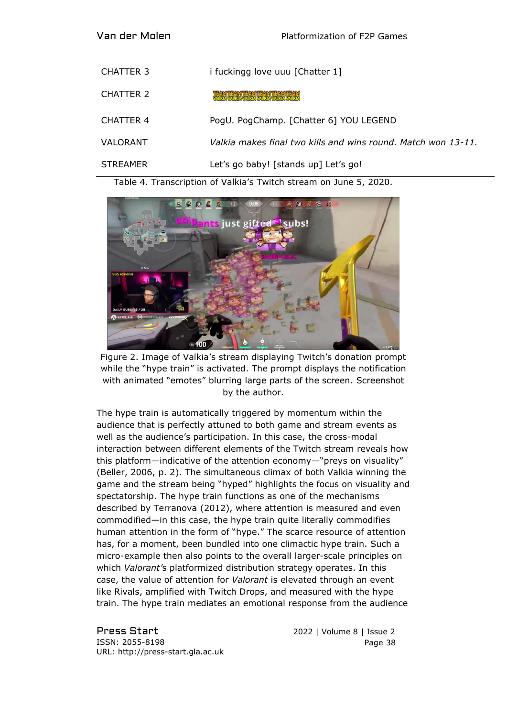| CHATTER 3 | i fuckingg love uuu [Chatter 1]                               |
|-----------|---------------------------------------------------------------|
| CHATTER 2 | TEAM TEAM TEAM TEAM TEAM TEAM                                 |
| CHATTER 4 | PogU. PogChamp. [Chatter 6] YOU LEGEND                        |
| VALORANT  | Valkia makes final two kills and wins round. Match won 13-11. |
| STREAMER  | Let's go baby! [stands up] Let's go!                          |

Table 4. Transcription of Valkia's Twitch stream on June 5, 2020.



Figure 2. Image of Valkia's stream displaying Twitch's donation prompt while the "hype train" is activated. The prompt displays the notification with animated "emotes" blurring large parts of the screen. Screenshot by the author.

The hype train is automatically triggered by momentum within the audience that is perfectly attuned to both game and stream events as well as the audience's participation. In this case, the cross-modal interaction between different elements of the Twitch stream reveals how this platform—indicative of the attention economy—"preys on visuality" (Beller, 2006, p. 2). The simultaneous climax of both Valkia winning the game and the stream being "hyped" highlights the focus on visuality and spectatorship. The hype train functions as one of the mechanisms described by Terranova (2012), where attention is measured and even commodified—in this case, the hype train quite literally commodifies human attention in the form of "hype." The scarce resource of attention has, for a moment, been bundled into one climactic hype train. Such a micro-example then also points to the overall larger-scale principles on which *Valorant'*s platformized distribution strategy operates. In this case, the value of attention for *Valorant* is elevated through an event like Rivals, amplified with Twitch Drops, and measured with the hype train. The hype train mediates an emotional response from the audience

Press Start 2022 | Volume 8 | Issue 2 ISSN: 2055-8198 URL: http://press-start.gla.ac.uk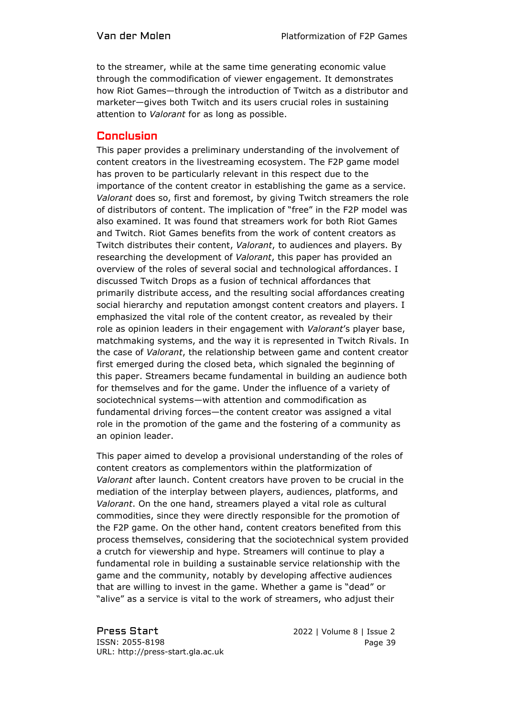to the streamer, while at the same time generating economic value through the commodification of viewer engagement. It demonstrates how Riot Games—through the introduction of Twitch as a distributor and marketer—gives both Twitch and its users crucial roles in sustaining attention to *Valorant* for as long as possible.

#### **Conclusion**

This paper provides a preliminary understanding of the involvement of content creators in the livestreaming ecosystem. The F2P game model has proven to be particularly relevant in this respect due to the importance of the content creator in establishing the game as a service. *Valorant* does so, first and foremost, by giving Twitch streamers the role of distributors of content. The implication of "free" in the F2P model was also examined. It was found that streamers work for both Riot Games and Twitch. Riot Games benefits from the work of content creators as Twitch distributes their content, *Valorant*, to audiences and players. By researching the development of *Valorant*, this paper has provided an overview of the roles of several social and technological affordances. I discussed Twitch Drops as a fusion of technical affordances that primarily distribute access, and the resulting social affordances creating social hierarchy and reputation amongst content creators and players. I emphasized the vital role of the content creator, as revealed by their role as opinion leaders in their engagement with *Valorant*'s player base, matchmaking systems, and the way it is represented in Twitch Rivals. In the case of *Valorant*, the relationship between game and content creator first emerged during the closed beta, which signaled the beginning of this paper. Streamers became fundamental in building an audience both for themselves and for the game. Under the influence of a variety of sociotechnical systems—with attention and commodification as fundamental driving forces—the content creator was assigned a vital role in the promotion of the game and the fostering of a community as an opinion leader.

This paper aimed to develop a provisional understanding of the roles of content creators as complementors within the platformization of *Valorant* after launch. Content creators have proven to be crucial in the mediation of the interplay between players, audiences, platforms, and *Valorant*. On the one hand, streamers played a vital role as cultural commodities, since they were directly responsible for the promotion of the F2P game. On the other hand, content creators benefited from this process themselves, considering that the sociotechnical system provided a crutch for viewership and hype. Streamers will continue to play a fundamental role in building a sustainable service relationship with the game and the community, notably by developing affective audiences that are willing to invest in the game. Whether a game is "dead" or "alive" as a service is vital to the work of streamers, who adjust their

Press Start 2022 | Volume 8 | Issue 2 ISSN: 2055-8198 URL: http://press-start.gla.ac.uk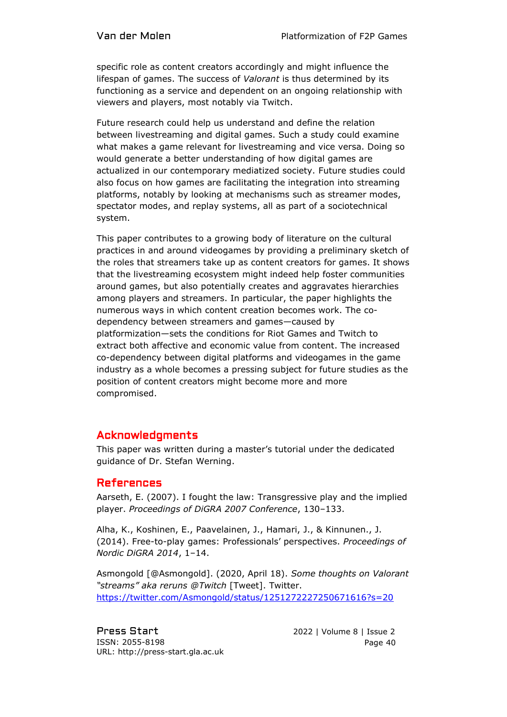specific role as content creators accordingly and might influence the lifespan of games. The success of *Valorant* is thus determined by its functioning as a service and dependent on an ongoing relationship with viewers and players, most notably via Twitch.

Future research could help us understand and define the relation between livestreaming and digital games. Such a study could examine what makes a game relevant for livestreaming and vice versa. Doing so would generate a better understanding of how digital games are actualized in our contemporary mediatized society. Future studies could also focus on how games are facilitating the integration into streaming platforms, notably by looking at mechanisms such as streamer modes, spectator modes, and replay systems, all as part of a sociotechnical system.

This paper contributes to a growing body of literature on the cultural practices in and around videogames by providing a preliminary sketch of the roles that streamers take up as content creators for games. It shows that the livestreaming ecosystem might indeed help foster communities around games, but also potentially creates and aggravates hierarchies among players and streamers. In particular, the paper highlights the numerous ways in which content creation becomes work. The codependency between streamers and games—caused by platformization—sets the conditions for Riot Games and Twitch to extract both affective and economic value from content. The increased co-dependency between digital platforms and videogames in the game industry as a whole becomes a pressing subject for future studies as the position of content creators might become more and more compromised.

# Acknowledgments

This paper was written during a master's tutorial under the dedicated guidance of Dr. Stefan Werning.

## References

Aarseth, E. (2007). I fought the law: Transgressive play and the implied player. *Proceedings of DiGRA 2007 Conference*, 130–133.

Alha, K., Koshinen, E., Paavelainen, J., Hamari, J., & Kinnunen., J. (2014). Free-to-play games: Professionals' perspectives. *Proceedings of Nordic DiGRA 2014*, 1–14.

Asmongold [@Asmongold]. (2020, April 18). *Some thoughts on Valorant "streams" aka reruns @Twitch* [Tweet]. Twitter. <https://twitter.com/Asmongold/status/1251272227250671616?s=20>

Press Start 2022 | Volume 8 | Issue 2 ISSN: 2055-8198 URL: http://press-start.gla.ac.uk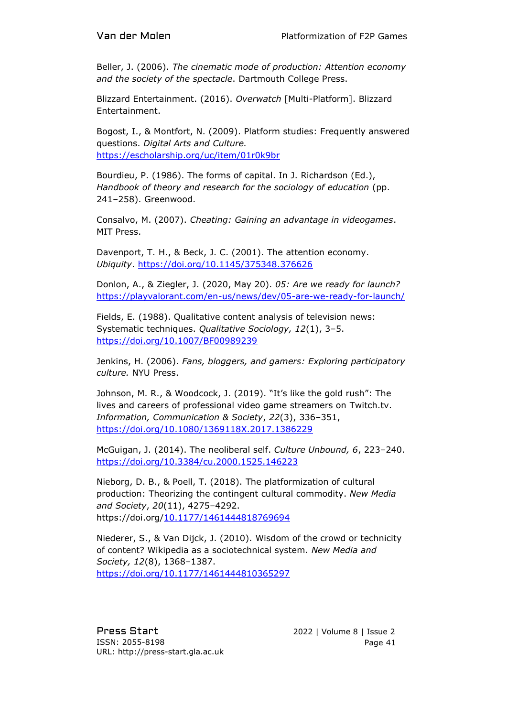Beller, J. (2006). *The cinematic mode of production: Attention economy and the society of the spectacle*. Dartmouth College Press.

Blizzard Entertainment. (2016). *Overwatch* [Multi-Platform]. Blizzard Entertainment.

Bogost, I., & Montfort, N. (2009). Platform studies: Frequently answered questions. *Digital Arts and Culture.*  <https://escholarship.org/uc/item/01r0k9br>

Bourdieu, P. (1986). The forms of capital. In J. Richardson (Ed.), *Handbook of theory and research for the sociology of education* (pp. 241–258). Greenwood.

Consalvo, M. (2007). *Cheating: Gaining an advantage in videogames*. MIT Press.

Davenport, T. H., & Beck, J. C. (2001). The attention economy. *Ubiquity*.<https://doi.org/10.1145/375348.376626>

Donlon, A., & Ziegler, J. (2020, May 20). *05: Are we ready for launch?* <https://playvalorant.com/en-us/news/dev/05-are-we-ready-for-launch/>

Fields, E. (1988). Qualitative content analysis of television news: Systematic techniques. *Qualitative Sociology, 12*(1), 3–5. <https://doi.org/10.1007/BF00989239>

Jenkins, H. (2006). *Fans, bloggers, and gamers: Exploring participatory culture.* NYU Press.

Johnson, M. R., & Woodcock, J. (2019). "It's like the gold rush": The lives and careers of professional video game streamers on Twitch.tv. *Information, Communication & Society*, *22*(3), 336–351, <https://doi.org/10.1080/1369118X.2017.1386229>

McGuigan, J. (2014). The neoliberal self. *Culture Unbound, 6*, 223–240. <https://doi.org/10.3384/cu.2000.1525.146223>

Nieborg, D. B., & Poell, T. (2018). The platformization of cultural production: Theorizing the contingent cultural commodity. *New Media and Society*, *20*(11), 4275–4292. https://doi.org[/10.1177/1461444818769694](https://doi-org.proxy.library.uu.nl/10.1177/1461444818769694)

Niederer, S., & Van Dijck, J. (2010). Wisdom of the crowd or technicity of content? Wikipedia as a sociotechnical system. *New Media and Society, 12*(8), 1368–1387. <https://doi.org/10.1177/1461444810365297>

Press Start 2022 | Volume 8 | Issue 2 ISSN: 2055-8198 URL: http://press-start.gla.ac.uk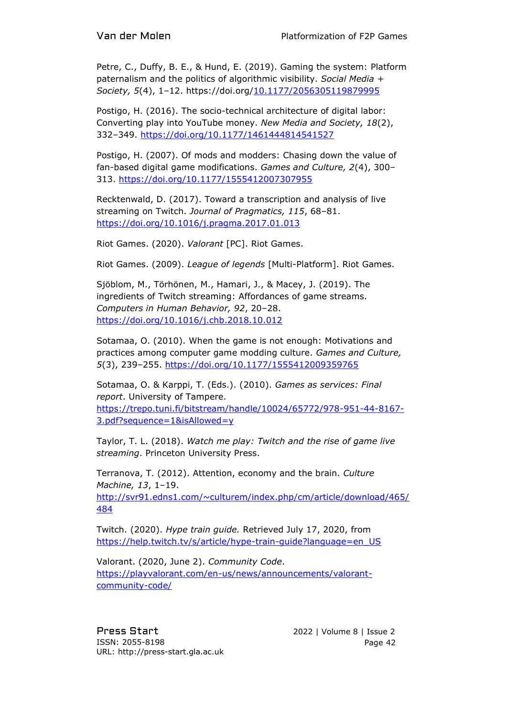Petre, C., Duffy, B. E., & Hund, E. (2019). Gaming the system: Platform paternalism and the politics of algorithmic visibility. *Social Media + Society, 5*(4), 1–12. https://doi.org[/10.1177/2056305119879995](https://doi-org.proxy.library.uu.nl/10.1177/2056305119879995)

Postigo, H. (2016). The socio-technical architecture of digital labor: Converting play into YouTube money. *New Media and Society, 18*(2), 332–349.<https://doi.org/10.1177/1461444814541527>

Postigo, H. (2007). Of mods and modders: Chasing down the value of fan-based digital game modifications. *Games and Culture, 2*(4), 300– 313.<https://doi.org/10.1177/1555412007307955>

Recktenwald, D. (2017). Toward a transcription and analysis of live streaming on Twitch. *Journal of Pragmatics, 115*, 68–81. <https://doi.org/10.1016/j.pragma.2017.01.013>

Riot Games. (2020). *Valorant* [PC]. Riot Games.

Riot Games. (2009). *League of legends* [Multi-Platform]. Riot Games.

Sjöblom, M., Törhönen, M., Hamari, J., & Macey, J. (2019). The ingredients of Twitch streaming: Affordances of game streams. *Computers in Human Behavior, 92*, 20–28. <https://doi.org/10.1016/j.chb.2018.10.012>

Sotamaa, O. (2010). When the game is not enough: Motivations and practices among computer game modding culture. *Games and Culture, 5*(3), 239–255.<https://doi.org/10.1177/1555412009359765>

Sotamaa, O. & Karppi, T. (Eds.). (2010). *Games as services: Final report*. University of Tampere. [https://trepo.tuni.fi/bitstream/handle/10024/65772/978-951-44-8167-](https://trepo.tuni.fi/bitstream/handle/10024/65772/978-951-44-8167-3.pdf?sequence=1&isAllowed=y) [3.pdf?sequence=1&isAllowed=y](https://trepo.tuni.fi/bitstream/handle/10024/65772/978-951-44-8167-3.pdf?sequence=1&isAllowed=y)

Taylor, T. L. (2018). *Watch me play: Twitch and the rise of game live streaming*. Princeton University Press.

Terranova, T. (2012). Attention, economy and the brain. *Culture Machine, 13*, 1–19.

[http://svr91.edns1.com/~culturem/index.php/cm/article/download/465/](http://svr91.edns1.com/~culturem/index.php/cm/article/download/465/484) [484](http://svr91.edns1.com/~culturem/index.php/cm/article/download/465/484)

Twitch. (2020). *Hype train guide.* Retrieved July 17, 2020, from https://help.twitch.tv/s/article/hype-train-quide?language=en\_US

Valorant. (2020, June 2). *Community Code*. [https://playvalorant.com/en-us/news/announcements/valorant](https://playvalorant.com/en-us/news/announcements/valorant-community-code/)[community-code/](https://playvalorant.com/en-us/news/announcements/valorant-community-code/)

Press Start 2022 | Volume 8 | Issue 2 ISSN: 2055-8198 URL: http://press-start.gla.ac.uk